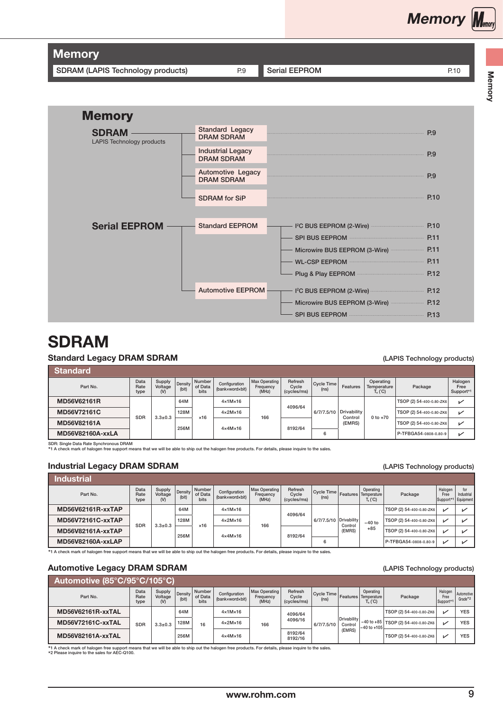SDRAM (LAPIS Technology products) P.9 [Serial EEPROM](#page-1-0) P.10

**Memory Memory** 

| <u>iviemory</u>                           |                                               |                                                |      |
|-------------------------------------------|-----------------------------------------------|------------------------------------------------|------|
| <b>SDRAM</b><br>LAPIS Technology products | <b>Standard Legacy</b><br><b>DRAM SDRAM</b>   |                                                | P.9  |
|                                           | <b>Industrial Legacy</b><br><b>DRAM SDRAM</b> |                                                | P.9  |
|                                           | Automotive Legacy<br><b>DRAM SDRAM</b>        |                                                | P.9  |
|                                           | <b>SDRAM</b> for SiP                          |                                                | P.10 |
|                                           |                                               |                                                |      |
| <b>Serial EEPROM</b>                      | <b>Standard EEPROM</b>                        | I <sup>2</sup> C BUS EEPROM (2-Wire)           | P.10 |
|                                           |                                               | SPI BUS EEPROM                                 | P.11 |
|                                           |                                               | Microwire BUS EEPROM (3-Wire) <b>Microwire</b> | P.11 |
|                                           |                                               | WL-CSP EEPROM                                  | P.11 |
|                                           |                                               | Plug & Play EEPROM                             | P.12 |
|                                           | <b>Automotive EEPROM</b>                      | 1 <sup>2</sup> C BUS EEPROM (2-Wire)           | P.12 |
|                                           |                                               | Microwire BUS EEPROM (3-Wire)                  | P.12 |
|                                           |                                               | SPI BUS EEPROM <b>CONSUMING THE SPI BUS</b>    | P.13 |
|                                           |                                               |                                                |      |

# SDRAM  $\mathbf{F}$

### **Standard Legacy DRAM SDRAM**

Memory

**Memory** 

#### (LAPIS Technology products)

| Standard         |                      |                            |                  |                           |                                  |                                            |                                 |                                 |                        |                                        |                          |                              |
|------------------|----------------------|----------------------------|------------------|---------------------------|----------------------------------|--------------------------------------------|---------------------------------|---------------------------------|------------------------|----------------------------------------|--------------------------|------------------------------|
| Part No.         | Data<br>Rate<br>type | Supply<br>Voltage<br>$(V)$ | Density<br>(bit) | Number<br>of Data<br>bits | Configuration<br>(bankxwordxbit) | <b>Max Operating</b><br>Frequency<br>(MHz) | Refresh<br>Cycle<br>(cycles/ms) | Cycle Time<br>(n <sub>s</sub> ) | Features               | Operating<br>Temperature<br>$T_a$ (°C) | Package                  | Halogen<br>Free<br>Support*1 |
| MD56V62161R      |                      |                            | 64M              |                           | $4 \times 1$ M $\times 16$       |                                            | 4096/64                         |                                 |                        |                                        | TSOP (2) 54-400-0.80-ZK6 | ✓                            |
| MD56V72161C      | SDR                  | $3.3 \pm 0.3$              | 128M             | $\times$ 16               | $4 \times 2M \times 16$          | 166                                        |                                 | 6/7/7.5/10                      | Drivability<br>Control | $0 to +70$                             | TSOP (2) 54-400-0.80-ZK6 | ✓                            |
| MD56V82161A      |                      |                            | 256M             |                           | 4x4Mx16                          |                                            | 8192/64                         |                                 | (EMRS)                 |                                        | TSOP (2) 54-400-0.80-ZK6 | ✓                            |
| MD56V82160A-xxLA |                      |                            |                  |                           |                                  |                                            |                                 | 6                               |                        |                                        | P-TFBGA54-0808-0.80-9    | ✓                            |

SDR: Single Data Rate Synchronous DRAM<br>\*1 A check mark of halogen free support means that we will be able to ship out the halogen free products. For details, please inquire to the sales.

### **Industrial Legacy DRAM SDRAM SURAM CONSERVANT CONSERVANT CONSERVANT CONSERVANT (LAPIS Technology products)**

| <b>Industrial</b>        |                      |                            |                  |                                  |                                  |                                            |                                 |                                                            |         |                         |                          |                              |                                |
|--------------------------|----------------------|----------------------------|------------------|----------------------------------|----------------------------------|--------------------------------------------|---------------------------------|------------------------------------------------------------|---------|-------------------------|--------------------------|------------------------------|--------------------------------|
| Part No.                 | Data<br>Rate<br>type | Supply<br>Voltage<br>$(V)$ | Density<br>(bit) | Number<br>of Data<br><b>bits</b> | Configuration<br>(bankxwordxbit) | <b>Max Operating</b><br>Frequency<br>(MHz) | Refresh<br>Cycle<br>(cycles/ms) | Cycle Time   Features   Temperature  <br>(n <sub>s</sub> ) |         | Operating<br>$T_a (°C)$ | Package                  | Halogen<br>Free<br>Support*1 | for<br>Industrial<br>Equipment |
| MD56V62161R-xxTAP        |                      |                            | 64M              |                                  | $4 \times 1M \times 16$          |                                            | 4096/64                         |                                                            |         |                         | TSOP (2) 54-400-0.80-ZK6 | M                            |                                |
| MD56V72161C-xxTAP        | <b>SDR</b>           | $3.3 + 0.3$                | 128M             | $\times$ 16                      | $4 \times 2M \times 16$          | 166                                        |                                 | 6/7/7.5/10 Drivability                                     | Control | $-40$ to                | TSOP (2) 54-400-0.80-ZK6 | v                            |                                |
| MD56V82161A-xxTAP        |                      |                            | 256M             |                                  | $4 \times 4M \times 16$          |                                            | 8192/64                         |                                                            | (EMRS)  | $+85$                   | TSOP (2) 54-400-0.80-ZK6 | ↙                            |                                |
| <b>MD56V82160A-xxLAP</b> |                      |                            |                  |                                  |                                  |                                            |                                 | 6                                                          |         |                         | P-TFBGA54-0808-0.80-9    | M                            |                                |

\*1 A check mark of halogen free support means that we will be able to ship out the halogen free products. For details, please inquire to the sales.

## Automotive Legacy DRAM SDRAM (LAPIS Technology products) and the CAPIS Technology products)

| Automotive (85°C/95°C <u>/105°C)</u> |                      |                            |                  |                                  |                                  |                                     |                                 |                                                            |                               |                         |                                       |                              |                         |
|--------------------------------------|----------------------|----------------------------|------------------|----------------------------------|----------------------------------|-------------------------------------|---------------------------------|------------------------------------------------------------|-------------------------------|-------------------------|---------------------------------------|------------------------------|-------------------------|
| Part No.                             | Data<br>Rate<br>type | Supply<br>Voltage<br>$(V)$ | Density<br>(bit) | Number<br>of Data<br><b>bits</b> | Configuration<br>(bankxwordxbit) | Max Operating<br>Frequency<br>(MHz) | Refresh<br>Cycle<br>(cycles/ms) | Cycle Time   Features   Temperature  <br>(n <sub>s</sub> ) |                               | Operating<br>$T_a$ (°C) | Package                               | Halogen<br>Free<br>Support*1 | Automotive<br>$Grade*2$ |
| <b>MD56V62161R-xxTAL</b>             |                      |                            | 64M              |                                  | $4 \times 1$ M $\times 16$       |                                     | 4096/64                         |                                                            |                               |                         | TSOP (2) 54-400-0.80-ZK6              | М                            | <b>YES</b>              |
| <b>MD56V72161C-xxTAL</b>             | <b>SDR</b>           | $3.3 \pm 0.3$              | 128M             | 16                               | $4 \times 2M \times 16$          | 166                                 | 4096/16                         | 6/7/7.5/10                                                 | <b>Drivability</b><br>Control | $-40$ to $+105$         | -40 to +85   TSOP (2) 54-400-0.80-ZK6 | $\overline{ }$               | <b>YES</b>              |
| MD56V82161A-xxTAL                    |                      |                            | 256M             |                                  | $4 \times 4M \times 16$          |                                     | 8192/64<br>8192/16              |                                                            | (EMRS)                        |                         | TSOP (2) 54-400-0.80-ZK6              |                              | <b>YES</b>              |

\*1 A check mark of halogen free support means that we will be able to ship out the halogen free products. For details, please inquire to the sales. \*2 Please inquire to the sales for AEC-Q100.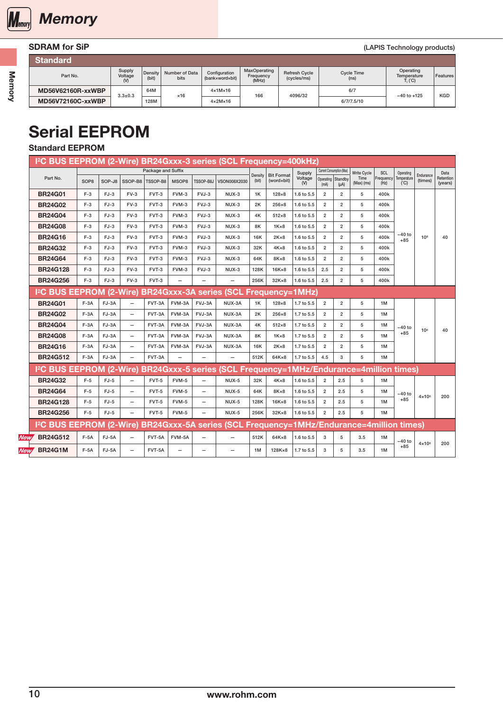<span id="page-1-0"></span>

# SDRAM for SiP (LAPIS Technology products)

| <b>Standard</b>          |                   |                  |                               |                                  |                                    |                                     |                                 |                                        |            |
|--------------------------|-------------------|------------------|-------------------------------|----------------------------------|------------------------------------|-------------------------------------|---------------------------------|----------------------------------------|------------|
| Part No.                 | Supply<br>Voltage | Density<br>(bit) | Number of Data<br><b>bits</b> | Configuration<br>(bankxwordxbit) | MaxOperating<br>Frequency<br>(MHz) | <b>Refresh Cycle</b><br>(cycles/ms) | Cycle Time<br>(n <sub>s</sub> ) | Operating<br>Temperature<br>$T_i$ (°C) | Features   |
| MD56V62160R-xxWBP        |                   | 64M              | $\times$ 16                   | $4 \times 1$ M $\times 16$       | 166                                | 4096/32                             | 6/7                             | $-40$ to $+125$                        | <b>KGD</b> |
| <b>MD56V72160C-xxWBP</b> | $3.3 \pm 0.3$     | 128M             |                               | $4 \times 2M \times 16$          |                                    |                                     | 6/7/7.5/10                      |                                        |            |

# Serial EEPROM

# Standard EEPROM

|             |                                                                                                       |                  |        |                          |                    |        |                          | I <sup>2</sup> C BUS EEPROM (2-Wire) BR24Gxxx-3 series (SCL Frequency=400kHz) |         |                   |                |                           |                         |                      |                   |                    |                 |                      |
|-------------|-------------------------------------------------------------------------------------------------------|------------------|--------|--------------------------|--------------------|--------|--------------------------|-------------------------------------------------------------------------------|---------|-------------------|----------------|---------------------------|-------------------------|----------------------|-------------------|--------------------|-----------------|----------------------|
|             |                                                                                                       |                  |        |                          | Package and Suffix |        |                          |                                                                               | Density | <b>Bit Format</b> | Supply         | Current Consumption (Max) |                         | <b>Write Cycle</b>   | <b>SCL</b>        | Operating          | Endurance       | Data                 |
|             | Part No.                                                                                              | SOP <sub>8</sub> | SOP-J8 | SSOP-B8                  | <b>TSSOP-B8</b>    | MSOP8  | TSSOP-B8J                | VSON008X2030                                                                  | (bit)   | (word×bit)        | Voltage<br>(V) | Operating Standby<br>(mA) | $(\mu A)$               | Time<br>$(Max)$ (ms) | Frequency<br>(Hz) | Temperature<br>(C) | (times)         | Retention<br>(years) |
|             | <b>BR24G01</b>                                                                                        | $F-3$            | $FJ-3$ | $FV-3$                   | FVT-3              | FVM-3  | FVJ-3                    | NUX-3                                                                         | 1K      | $128\times8$      | 1.6 to 5.5     | $\overline{2}$            | $\overline{2}$          | 5                    | 400k              |                    |                 |                      |
|             | <b>BR24G02</b>                                                                                        | $F-3$            | $FJ-3$ | $FV-3$                   | FVT-3              | FVM-3  | FVJ-3                    | $NUX-3$                                                                       | 2K      | 256×8             | 1.6 to 5.5     | $\overline{2}$            | $\overline{2}$          | 5                    | 400k              |                    |                 |                      |
|             | <b>BR24G04</b>                                                                                        | $F-3$            | $FJ-3$ | $FV-3$                   | FVT-3              | FVM-3  | FVJ-3                    | NUX-3                                                                         | 4Κ      | $512\times8$      | 1.6 to 5.5     | $\overline{2}$            | $\overline{2}$          | 5                    | 400k              |                    |                 |                      |
|             | <b>BR24G08</b>                                                                                        | $F-3$            | $FJ-3$ | $FV-3$                   | FVT-3              | FVM-3  | FVJ-3                    | NUX-3                                                                         | 8K      | $1K \times 8$     | 1.6 to 5.5     | $\overline{2}$            | $\overline{\mathbf{c}}$ | 5                    | 400k              |                    |                 |                      |
|             | <b>BR24G16</b>                                                                                        | $F-3$            | $FJ-3$ | $FV-3$                   | FVT-3              | FVM-3  | FVJ-3                    | NUX-3                                                                         | 16K     | $2K \times 8$     | 1.6 to 5.5     | $\overline{2}$            | $\overline{2}$          | 5                    | 400k              | $-40$ to<br>$+85$  | 10 <sup>6</sup> | 40                   |
|             | <b>BR24G32</b>                                                                                        | $F-3$            | $FJ-3$ | $FV-3$                   | FVT-3              | FVM-3  | FVJ-3                    | NUX-3                                                                         | 32K     | $4K \times 8$     | 1.6 to 5.5     | $\overline{2}$            | $\overline{2}$          | 5                    | 400k              |                    |                 |                      |
|             | <b>BR24G64</b>                                                                                        | $F-3$            | $FJ-3$ | $FV-3$                   | FVT-3              | FVM-3  | FVJ-3                    | NUX-3                                                                         | 64K     | 8K×8              | 1.6 to 5.5     | $\overline{2}$            | $\overline{2}$          | 5                    | 400k              |                    |                 |                      |
|             | <b>BR24G128</b>                                                                                       | $F-3$            | $FJ-3$ | $FV-3$                   | FVT-3              | FVM-3  | FVJ-3                    | NUX-3                                                                         | 128K    | $16K \times 8$    | 1.6 to 5.5     | 2.5                       | $\overline{2}$          | 5                    | 400k              |                    |                 |                      |
|             | <b>BR24G256</b>                                                                                       | $F-3$            | $FJ-3$ | $FV-3$                   | FVT-3              |        |                          | $\qquad \qquad -$                                                             | 256K    | 32K×8             | 1.6 to 5.5     | 2.5                       | $\overline{2}$          | 5                    | 400k              |                    |                 |                      |
|             | 12C BUS EEPROM (2-Wire) BR24Gxxx-3A series (SCL Frequency=1MHz)                                       |                  |        |                          |                    |        |                          |                                                                               |         |                   |                |                           |                         |                      |                   |                    |                 |                      |
|             | <b>BR24G01</b>                                                                                        | $F-3A$           | FJ-3A  | $\overline{\phantom{0}}$ | FVT-3A             | FVM-3A | FVJ-3A                   | NUX-3A                                                                        | 1K      | $128\times8$      | 1.7 to 5.5     | $\overline{2}$            | $\overline{2}$          | 5                    | 1M                |                    |                 |                      |
|             | <b>BR24G02</b>                                                                                        | $F-3A$           | FJ-3A  | $\overline{\phantom{0}}$ | FVT-3A             | FVM-3A | FVJ-3A                   | NUX-3A                                                                        | 2K      | 256×8             | 1.7 to 5.5     | $\overline{2}$            | $\overline{2}$          | 5                    | 1M                |                    |                 |                      |
|             | <b>BR24G04</b>                                                                                        | $F-3A$           | FJ-3A  | $\qquad \qquad -$        | FVT-3A             | FVM-3A | FVJ-3A                   | NUX-3A                                                                        | 4K      | $512\times8$      | 1.7 to 5.5     | $\overline{2}$            | $\overline{2}$          | 5                    | 1M                | –40 to             | 10 <sup>6</sup> | 40                   |
|             | <b>BR24G08</b>                                                                                        | $F-3A$           | FJ-3A  | $\overline{\phantom{0}}$ | FVT-3A             | FVM-3A | FVJ-3A                   | NUX-3A                                                                        | 8Κ      | $1K \times 8$     | 1.7 to 5.5     | $\overline{2}$            | $\overline{2}$          | 5                    | 1M                | $+85$              |                 |                      |
|             | <b>BR24G16</b>                                                                                        | $F-3A$           | FJ-3A  | $\overline{\phantom{0}}$ | FVT-3A             | FVM-3A | FVJ-3A                   | NUX-3A                                                                        | 16K     | $2K \times 8$     | 1.7 to 5.5     | $\overline{2}$            | $\overline{\mathbf{c}}$ | 5                    | 1M                |                    |                 |                      |
|             | <b>BR24G512</b>                                                                                       | $F-3A$           | FJ-3A  | -                        | FVT-3A             |        |                          |                                                                               | 512K    | 64K×8             | 1.7 to 5.5     | 4.5                       | 3                       | 5                    | 1M                |                    |                 |                      |
|             | IºC BUS EEPROM (2-Wire) BR24Gxxx-5 series (SCL Frequency=1MHz/Endurance=4million times)               |                  |        |                          |                    |        |                          |                                                                               |         |                   |                |                           |                         |                      |                   |                    |                 |                      |
|             | <b>BR24G32</b>                                                                                        | $F-5$            | $FJ-5$ |                          | $FVT-5$            | FVM-5  | $\overline{\phantom{0}}$ | $NUX-5$                                                                       | 32K     | $4K \times 8$     | 1.6 to 5.5     | $\overline{2}$            | 2.5                     | 5                    | 1M                |                    |                 |                      |
|             | <b>BR24G64</b>                                                                                        | $F-5$            | $FJ-5$ | $\overline{\phantom{0}}$ | $FVT-5$            | FVM-5  | $\overline{\phantom{0}}$ | NUX-5                                                                         | 64K     | 8K×8              | 1.6 to 5.5     | $\overline{2}$            | 2.5                     | 5                    | 1M                | $-40$ to           | $4 \times 10^6$ | 200                  |
|             | <b>BR24G128</b>                                                                                       | $F-5$            | $FJ-5$ | $\qquad \qquad -$        | FVT-5              | FVM-5  | -                        | <b>NUX-5</b>                                                                  | 128K    | $16K \times 8$    | 1.6 to 5.5     | $\overline{2}$            | 2.5                     | 5                    | 1M                | $+85$              |                 |                      |
|             | <b>BR24G256</b>                                                                                       | $F-5$            | $FJ-5$ | -                        | $FVT-5$            | FVM-5  | -                        | NUX-5                                                                         | 256K    | 32K×8             | 1.6 to 5.5     | $\overline{2}$            | 2.5                     | 5                    | 1M                |                    |                 |                      |
|             | I <sup>2</sup> C BUS EEPROM (2-Wire) BR24Gxxx-5A series (SCL Frequency=1MHz/Endurance=4million times) |                  |        |                          |                    |        |                          |                                                                               |         |                   |                |                           |                         |                      |                   |                    |                 |                      |
| <b>New/</b> | <b>BR24G512</b>                                                                                       | $F-5A$           | FJ-5A  | $\overline{\phantom{0}}$ | FVT-5A             | FVM-5A | $\overline{\phantom{0}}$ | $\overline{\phantom{0}}$                                                      | 512K    | 64K×8             | 1.6 to 5.5     | 3                         | 5                       | 3.5                  | 1M                | –40 to             |                 |                      |
| <b>New/</b> | <b>BR24G1M</b>                                                                                        | $F-5A$           | FJ-5A  | -                        | FVT-5A             |        | -                        |                                                                               | 1M      | $128K \times 8$   | 1.7 to 5.5     | 3                         | 5                       | 3.5                  | 1M                | $+85$              | $4 \times 106$  | 200                  |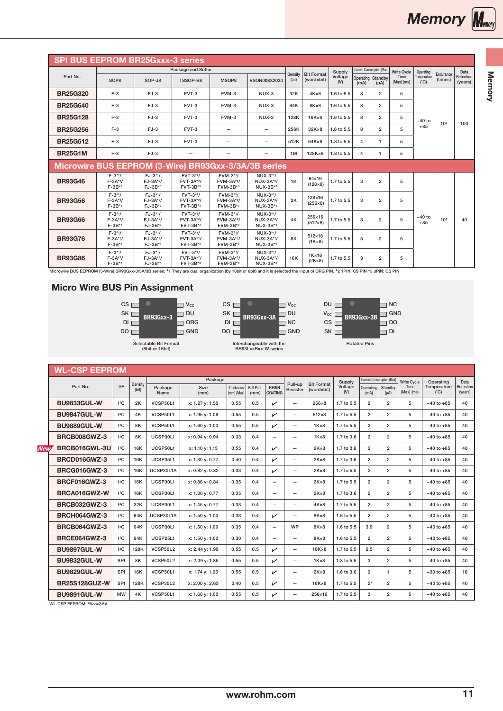<span id="page-2-0"></span>

|                                                      |                                            |                                        | Package and Suffix                |                                   |                                     |                  |                                   | Supply         | Current Consumption (Max) |                | <b>Write Cycle</b>   | Operating          |                      | Data                 |
|------------------------------------------------------|--------------------------------------------|----------------------------------------|-----------------------------------|-----------------------------------|-------------------------------------|------------------|-----------------------------------|----------------|---------------------------|----------------|----------------------|--------------------|----------------------|----------------------|
| Part No.                                             | SOP <sub>8</sub>                           | SOP-J8                                 | TSSOP-B8                          | MSOP8                             | <b>VSON008X2030</b>                 | Density<br>(bit) | <b>Bit Format</b><br>(word×bit)   | Voltage<br>(N) | Operating Standby<br>(mA) | $(\mu A)$      | Time<br>$(Max)$ (ms) | Temperature<br>(C) | Endurance<br>(times) | Retention<br>(years) |
| <b>BR25G320</b>                                      | $F-3$                                      | $FJ-3$                                 | FVT-3                             | FVM-3                             | NUX-3                               | 32K              | $4K \times 8$                     | 1.6 to 5.5     | 8                         | $\overline{2}$ | 5                    |                    |                      |                      |
| <b>BR25G640</b>                                      | $F-3$                                      | $FJ-3$                                 | FVT-3                             | FVM-3                             | NUX-3                               | 64K              | 8K×8                              | 1.6 to 5.5     | 8                         | $\overline{2}$ | 5                    |                    |                      |                      |
| <b>BR25G128</b>                                      | $F-3$                                      | $FJ-3$                                 | FVT-3                             | FVM-3                             | NUX-3                               | 128K             | $16K \times 8$                    | 1.6 to 5.5     | 8                         | $\overline{2}$ | 5                    | $-40$ to           | 10 <sup>6</sup>      | 100                  |
| <b>BR25G256</b>                                      | $F-3$                                      | $FJ-3$                                 | FVT-3                             |                                   | -                                   | 256K             | $32K\times8$                      | 1.6 to 5.5     | 8                         | $\overline{2}$ | 5                    | $+85$              |                      |                      |
| <b>BR25G512</b>                                      | $F-3$                                      | $FJ-3$                                 | FVT-3                             |                                   | -                                   | 512K             | $64K \times 8$                    | 1.8 to 5.5     | 4                         | $\mathbf{1}$   | 5                    |                    |                      |                      |
| <b>BR25G1M</b>                                       | $F-3$                                      | $FJ-3$                                 |                                   |                                   | -                                   | 1M               | 128K×8                            | 1.8 to 5.5     | 4                         | $\mathbf{1}$   | 5                    |                    |                      |                      |
| Microwire BUS EEPROM (3-Wire) BR93Gxx-3/3A/3B series |                                            |                                        |                                   |                                   |                                     |                  |                                   |                |                           |                |                      |                    |                      |                      |
| <b>BR93G46</b>                                       | $F - 3*1/$<br>$F - 3A*2/$<br>$F - 3B^{*3}$ | $FJ-3*1/$<br>$FJ-3A*2/$<br>$FJ-3B*3$   | FVT-3*1/<br>FVT-3A*2/<br>FVT-3B*3 | FVM-3*1/<br>FVM-3A*2/<br>FVM-3B*3 | NUX-3*1/<br>$NUX-3A*2/$<br>NUX-3B*3 | 1K               | 64×16<br>(128×8)                  | 1.7 to 5.5     | 3                         | $\overline{2}$ | 5                    |                    |                      |                      |
| <b>BR93G56</b>                                       | $F - 3*1/$<br>$F - 3A*2/$<br>$F - 3B^{*3}$ | $FJ-3*1/$<br>$FJ-3A*2/$<br>$FJ-3B*3$   | FVT-3*1/<br>FVT-3A*2/<br>FVT-3B*3 | FVM-3*1/<br>FVM-3A*2/<br>FVM-3B*3 | NUX-3*1/<br>NUX-3A*2/<br>NUX-3B*3   | 2K               | 128×16<br>$(256 \times 8)$        | 1.7 to 5.5     | 3                         | $\overline{2}$ | 5                    |                    |                      |                      |
| <b>BR93G66</b>                                       | $F - 3*1/$<br>$F - 3A*2/$<br>$F - 3B^{*3}$ | $FJ-3*1/$<br>$FJ-3A*2/$<br>$FJ-3B*3$   | FVT-3*1/<br>FVT-3A*2/<br>FVT-3B*3 | FVM-3*1/<br>FVM-3A*2/<br>FVM-3B*3 | $NUX-3*1/$<br>NUX-3A*2/<br>NUX-3B*3 | 4K               | 256×16<br>$(512\times8)$          | 1.7 to 5.5     | 3                         | $\overline{2}$ | 5                    | $-40$ to<br>$+85$  | 10 <sup>6</sup>      | 40                   |
| <b>BR93G76</b>                                       | $F - 3*1/$<br>$F - 3A*2/$<br>$F - 3B^{*3}$ | $FJ-3*1/$<br>$FJ-3A*2/$<br>$FJ-3B*3$   | FVT-3*1/<br>FVT-3A*2/<br>FVT-3B*3 | FVM-3*1/<br>FVM-3A*2/<br>FVM-3B*3 | NUX-3*1/<br>NUX-3A*2/<br>NUX-3B*3   | 8K               | $512\times16$<br>$(1K\times8)$    | 1.7 to 5.5     | 3                         | $\overline{2}$ | 5                    |                    |                      |                      |
| <b>BR93G86</b>                                       | $F - 3*1/$<br>$F - 3A*2/$<br>$F - 3B^{*3}$ | $FJ-3*1/$<br>$FJ - 3A*2/$<br>$FJ-3B*3$ | FVT-3*1/<br>FVT-3A*2/<br>FVT-3B*3 | FVM-3*1/<br>FVM-3A*2/<br>FVM-3B*3 | NUX-3*1/<br>NUX-3A*2/<br>NUX-3B*3   | <b>16K</b>       | $1K \times 16$<br>$(2K \times 8)$ | 1.7 to 5.5     | 3                         | $\overline{2}$ | 5                    |                    |                      |                      |

# Micro Wire BUS Pin Assignment







Rotated Pins

| Interchangeable with the   |  |
|----------------------------|--|
| <b>BR93LxxRxx-W series</b> |  |

|            | <b>WL-CSP EEPROM</b> |          |         |                 |                     |                           |                           |                                |                          |                   |                |                           |                      |                      |                    |                      |
|------------|----------------------|----------|---------|-----------------|---------------------|---------------------------|---------------------------|--------------------------------|--------------------------|-------------------|----------------|---------------------------|----------------------|----------------------|--------------------|----------------------|
|            |                      |          | Density |                 | Package             |                           |                           |                                | Pull-up                  | <b>Bit Format</b> | Supply         | Current Consumption (Max) |                      | <b>Write Cycle</b>   | Operating          | Data                 |
|            | Part No.             | I/F      | (bit)   | Package<br>Name | <b>Size</b><br>(mm) | Thickness<br>$(mm)$ (Max) | <b>Ball Pitch</b><br>(mm) | <b>RESIN</b><br><b>COATING</b> | Resister                 | (word×bit)        | Voltage<br>(V) | Operating<br>(mA)         | Standby<br>$(\mu A)$ | Time<br>$(Max)$ (ms) | Temperature<br>(C) | Retention<br>(years) |
|            | <b>BU9833GUL-W</b>   | 2C       | 2K      | VCSP50L1        | x: 1.27 y: 1.50     | 0.55                      | 0.5                       | $\checkmark$                   | Ξ.                       | $256\times8$      | 1.7 to 5.5     | $\overline{2}$            | $\overline{2}$       | 5                    | $-40$ to $+85$     | 40                   |
|            | <b>BU9847GUL-W</b>   | $ ^{2}C$ | 4K      | VCSP50L1        | x: 1.95 y: 1.06     | 0.55                      | 0.5                       | ✓                              | $\overline{\phantom{0}}$ | $512\times8$      | 1.7 to 5.5     | $\overline{2}$            | $\overline{2}$       | 5                    | $-40$ to $+85$     | 40                   |
|            | BU9889GUL-W          | 2C       | 8K      | VCSP50L1        | x: 1.60 y: 1.00     | 0.55                      | 0.5                       | ↙                              | $\overline{\phantom{0}}$ | $1K \times 8$     | 1.7 to 5.5     | $\overline{2}$            | $\overline{2}$       | 5                    | $-40$ to $+85$     | 40                   |
|            | BRCB008GWZ-3         | $ ^{2}C$ | 8K      | UCSP30L1        | x: 0.94 y: 0.94     | 0.33                      | 0.4                       | $\overline{\phantom{0}}$       | $\overline{\phantom{0}}$ | $1K \times 8$     | 1.7 to 3.6     | $\overline{2}$            | $\overline{2}$       | 5                    | $-40$ to $+85$     | 40                   |
| <b>New</b> | BRCB016GWL-3U        | 2C       | 16K     | UCSP50L1        | x: 1.10 y: 1.15     | 0.55                      | 0.4                       | $\checkmark$                   | $\overline{\phantom{0}}$ | $2K \times 8$     | 1.7 to 3.6     | $\overline{2}$            | $\overline{2}$       | 5                    | $-40$ to $+85$     | 40                   |
|            | BRCD016GWZ-3         | 12C      | 16K     | UCSP35L1        | x: 1.30 v: 0.77     | 0.40                      | 0.4                       | $\checkmark$                   | -                        | $2K \times 8$     | 1.7 to 3.6     | $\overline{2}$            | $\overline{2}$       | 5                    | $-40$ to $+85$     | 40                   |
|            | BRCG016GWZ-3         | 12C      | 16K     | UCSP30L1A       | x: 0.82 y: 0.82     | 0.33                      | 0.4                       | $\checkmark$                   | $\overline{\phantom{0}}$ | $2K \times 8$     | 1.7 to 5.5     | $\overline{2}$            | $\overline{2}$       | 5                    | $-40$ to $+85$     | 40                   |
|            | BRCF016GWZ-3         | 12C      | 16K     | UCSP30L1        | x: 0.86 y: 0.84     | 0.35                      | 0.4                       | $\overline{\phantom{0}}$       | $\overline{\phantom{0}}$ | $2K \times 8$     | 1.7 to 5.5     | $\overline{2}$            | $\overline{2}$       | 5                    | $-40$ to $+85$     | 40                   |
|            | BRCA016GWZ-W         | 12C      | 16K     | UCSP30L1        | x: 1.30 y: 0.77     | 0.35                      | 0.4                       | -                              | -                        | $2K \times 8$     | 1.7 to 3.6     | $\overline{2}$            | $\overline{2}$       | 5                    | $-40$ to $+85$     | 40                   |
|            | <b>BRCB032GWZ-3</b>  | $12C$    | 32K     | UCSP30L1        | x: 1.45 y: 0.77     | 0.33                      | 0.4                       | $\overline{\phantom{0}}$       | $\overline{\phantom{0}}$ | $4K \times 8$     | 1.7 to 5.5     | $\overline{2}$            | $\overline{2}$       | 5                    | $-40$ to $+85$     | 40                   |
|            | BRCH064GWZ-3         | 12C      | 64K     | UCSP30L1A       | x: 1.50 y: 1.00     | 0.33                      | 0.4                       | V                              | Ξ.                       | 8K×8              | 1.6 to 5.5     | $\overline{2}$            | $\overline{2}$       | 5                    | $-40$ to $+85$     | 40                   |
|            | BRCB064GWZ-3         | 2C       | 64K     | UCSP30L1        | x: 1.50 y: 1.00     | 0.35                      | 0.4                       | $\overline{\phantom{0}}$       | WP                       | 8K×8              | 1.6 to 5.5     | 3.9                       | $\overline{2}$       | 5                    | $-40$ to $+85$     | 40                   |
|            | BRCE064GWZ-3         | 12C      | 64K     | UCSP25L1        | x: 1.50 y: 1.00     | 0.30                      | 0.4                       | $\overline{\phantom{0}}$       | Ξ.                       | 8K×8              | 1.6 to 5.5     | $\overline{2}$            | $\overline{2}$       | 5                    | $-40$ to $+85$     | 40                   |
|            | <b>BU9897GUL-W</b>   | 2C       | 128K    | VCSP50L2        | x: 2.44 y: 1.99     | 0.55                      | 0.5                       | $\checkmark$                   | $\overline{\phantom{0}}$ | $16K \times 8$    | 1.7 to 5.5     | 2.5                       | $\overline{2}$       | 5                    | $-40$ to $+85$     | 40                   |
|            | <b>BU9832GUL-W</b>   | SPI      | 8K      | VCSP50L2        | x: 2.09 y: 1.85     | 0.55                      | 0.5                       | $\checkmark$                   | $\overline{\phantom{0}}$ | $1K \times 8$     | 1.8 to 5.5     | 3                         | $\overline{2}$       | 5                    | $-40$ to $+85$     | 40                   |
|            | <b>BU9829GUL-W</b>   | SPI      | 16K     | VCSP50L1        | x: 1.74 y: 1.65     | 0.55                      | 0.5                       | $\checkmark$                   | Ξ.                       | $2K \times 8$     | 1.6 to 3.6     | $\overline{2}$            | $\mathbf{1}$         | 5                    | $-30$ to $+85$     | 10                   |
|            | <b>BR25S128GUZ-W</b> | SPI      | 128K    | VCSP35L2        | x: 2.00 y: 2.63     | 0.40                      | 0.5                       | $\checkmark$                   | Ξ.                       | $16K \times 8$    | 1.7 to 5.5     | $2^*$                     | $\overline{2}$       | 5                    | $-40$ to $+85$     | 40                   |
|            | <b>BU9891GUL-W</b>   | MW       | 4K      | VCSP50L1        | x: 1.60 y: 1.00     | 0.55                      | 0.5                       | ↙                              | -                        | 256×16            | 1.7 to 5.5     | 3                         | $\overline{2}$       | 5                    | $-40$ to $+85$     | 40                   |

 $WL-CSP EEPROM: *V_{cc}=2.5V$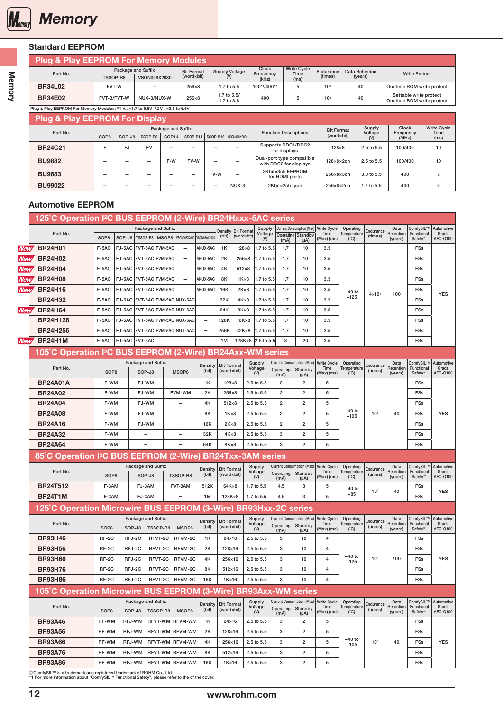<span id="page-3-0"></span>

## Standard EEPROM

#### Plug & Play EEPROM For Memory Modules Package and Suffix

| Part No.       |                            | Package and Suffix | <b>Bit Format</b> | Supply Voltage          | <b>Clock</b><br>Freauencv | <b>Write Cycle</b><br>Time | Endurance       | Data Retention | <b>Write Protect</b>                                |
|----------------|----------------------------|--------------------|-------------------|-------------------------|---------------------------|----------------------------|-----------------|----------------|-----------------------------------------------------|
|                | TSSOP-B8                   | VSON008X2030       | (word×bit)        |                         | (kHz)                     | (ms)                       | (times)         | (years)        |                                                     |
| <b>BR34L02</b> | FVT-W<br>-                 |                    | 256×8             | 1.7 to 5.5              | 100*1/400*2               |                            | 106             | 40             | Onetime ROM write protect                           |
| <b>BR34E02</b> | FVT-3/FVT-W<br>NUX-3/NUX-W |                    | 256×8             | .7 to 5.5/<br>.7 to 3.6 | 400                       |                            | 10 <sup>6</sup> | 40             | Settable write protect<br>Onetime ROM write protect |

# Plug & Play EEPROM For Memory Modules: \*1 Vcc=1.7 to 5.5V \*2 Vcc=2.5 to 5.5V

| Plug & Play EEPROM For Display |                                                 |        |         |                                                     |                        |            |                                |                                    |                        |                   |                           |                            |
|--------------------------------|-------------------------------------------------|--------|---------|-----------------------------------------------------|------------------------|------------|--------------------------------|------------------------------------|------------------------|-------------------|---------------------------|----------------------------|
| Part No.                       |                                                 |        |         | Package and Suffix                                  |                        |            |                                | <b>Function Descriptions</b>       | <b>Bit Format</b>      | Supply<br>Voltage | <b>Clock</b><br>Frequency | <b>Write Cycle</b><br>Time |
|                                | SOP <sub>8</sub>                                | SOP-J8 | SSOP-B8 | SOP <sub>14</sub>                                   |                        |            | SSOP-B14 SSOP-B16 VSON008X2030 |                                    | (word×bit)             | $o$               | (MHz)                     | (ms)                       |
| <b>BR24C21</b>                 | <b>FV</b><br><b>FJ</b><br>-<br>-<br>-<br>-      |        |         |                                                     |                        |            |                                | Supports DDC1/DDC2<br>for displays | $128\times8$           | $2.5$ to $5.5$    | 100/400                   | 10                         |
| <b>BU9882</b>                  | F-W<br>FV-W<br>-<br>-                           |        |         | Dual-port type compatible<br>with DDC2 for displays | $128\times8\times2$ ch | 2.5 to 5.5 | 100/400                        | 10                                 |                        |                   |                           |                            |
| <b>BU9883</b>                  | FV-W<br>-<br>-<br>-<br>$\overline{\phantom{a}}$ |        | -       | 2Kbit×3ch EEPROM<br>for HDMI ports                  | $256\times8\times3$ ch | 3.0 to 5.5 | 400                            | 5                                  |                        |                   |                           |                            |
| <b>BU99022</b>                 | -<br>-<br>-<br>-                                |        |         |                                                     |                        |            | NUX-3                          | 2Kbit×2ch type                     | $256\times8\times2$ ch | 1.7 to 5.5        | 400                       | 5                          |

#### Automotive EEPROM

|            | 125°C Operation I <sup>2</sup> C BUS EEPROM (2-Wire) BR24Hxxx-5AC series |                  |        |                         |          |                          |                          |                    |                |                           |                   |                                  |                                                   |                          |                 |                      |                                    |                     |
|------------|--------------------------------------------------------------------------|------------------|--------|-------------------------|----------|--------------------------|--------------------------|--------------------|----------------|---------------------------|-------------------|----------------------------------|---------------------------------------------------|--------------------------|-----------------|----------------------|------------------------------------|---------------------|
|            | Part No.                                                                 |                  |        | Package and Suffix      |          |                          |                          | Density Bit Format |                | Supply<br>Voltage         |                   | Current Consumption (Max)        | Write Cycle<br>Time                               | Operating<br>Temperature | Endurance       | Data<br>Retention    | ComfySIL™<br>Functional            | Automotive<br>Grade |
|            |                                                                          | SOP <sub>8</sub> | SOP-J8 | <b>TSSOP-B8 MSOP8</b>   |          | VSON008X2030             | VSON08AX2030             | (bit)              | (word×bit)     | (V)                       | (mA)              | Operating Standby<br>$(\mu A)$   | (Max) (ms)                                        | (C)                      | (times)         | (years)              | Safety*1                           | AEC-Q100            |
| New        | <b>BR24H01</b>                                                           | F-5AC            | FJ-5AC | FVT-5AC FVM-5AC         |          | $\overline{\phantom{a}}$ | ANUX-5AC                 | 1K                 | $128\times8$   | 1.7 to 5.5                | 1.7               | 10                               | 3.5                                               |                          |                 |                      | <b>FSs</b>                         |                     |
| New        | <b>BR24H02</b>                                                           | F-5AC            | FJ-5AC | FVT-5AC FVM-5AC         |          | $\qquad \qquad -$        | ANUX-5AC                 | 2K                 | 256×8          | 1.7 to 5.5                | 1.7               | 10                               | 3.5                                               |                          |                 |                      | FSs                                |                     |
| New        | <b>BR24H04</b>                                                           | F-5AC            | FJ-5AC | FVT-5AC FVM-5AC         |          | $\qquad \qquad -$        | ANUX-5AC                 | 4K                 | $512\times8$   | 1.7 to 5.5                | 1.7               | 10                               | 3.5                                               |                          |                 |                      | <b>FSs</b>                         |                     |
| <b>New</b> | <b>BR24H08</b>                                                           | F-5AC            | FJ-5AC | <b>FVT-5AC FVM-5AC</b>  |          | $\overline{\phantom{0}}$ | ANUX-5AC                 | 8K                 | $1K \times 8$  | 1.7 to 5.5                | 1.7               | 10                               | 3.5                                               |                          |                 |                      | <b>FSs</b>                         |                     |
| <b>New</b> | <b>BR24H16</b>                                                           | F-5AC            | FJ-5AC | FVT-5AC FVM-5AC         |          | $\overline{\phantom{0}}$ | ANUX-5AC                 | 16K                | $2K \times 8$  | 1.7 to 5.5                | 1.7               | 10                               | 3.5                                               | $-40$ to                 | $4 \times 10^6$ | 100                  | FSs                                | <b>YES</b>          |
|            | <b>BR24H32</b>                                                           | F-5AC            | FJ-5AC | FVT-5AC FVM-5AC NUX-5AC |          |                          |                          | 32K                | $4K \times 8$  | 1.7 to 5.5                | 1.7               | 10                               | 3.5                                               | $+125$                   |                 |                      | <b>FSs</b>                         |                     |
| <b>New</b> | <b>BR24H64</b>                                                           | F-5AC            | FJ-5AC | FVT-5AC FVM-5AC NUX-5AC |          |                          | $\qquad \qquad -$        | 64K                | 8K×8           | 1.7 to 5.5                | 1.7               | 10                               | 3.5                                               |                          |                 |                      | <b>FSs</b>                         |                     |
|            | <b>BR24H128</b>                                                          | F-5AC            | FJ-5AC | FVT-5AC FVM-5AC         |          | NUX-5AC                  | $\qquad \qquad -$        | 128K               | $16K \times 8$ | 1.7 to 5.5                | 1.7               | 10                               | 3.5                                               |                          |                 |                      | <b>FSs</b>                         |                     |
|            | <b>BR24H256</b>                                                          | F-5AC            | FJ-5AC | FVT-5AC FVM-5AC         |          | NUX-5AC                  | $\overline{\phantom{0}}$ | 256K               | $32K \times 8$ | 1.7 to 5.5                | 1.7               | 10                               | 3.5                                               |                          |                 |                      | <b>FSs</b>                         |                     |
| <b>New</b> | <b>BR24H1M</b>                                                           | F-5AC            |        | FJ-5AC FVT-5AC          |          |                          |                          | 1M                 |                | 128K×8 2.5 to 5.5         | 3                 | 20                               | 3.5                                               |                          |                 |                      | <b>FSs</b>                         |                     |
|            | 105°C Operation I <sup>2</sup> C BUS EEPROM (2-Wire) BR24Axx-WM series   |                  |        |                         |          |                          |                          |                    |                |                           |                   |                                  |                                                   |                          |                 |                      |                                    |                     |
|            |                                                                          |                  |        | Package and Suffix      |          |                          | Density                  | <b>Bit Format</b>  |                | Supply                    |                   | <b>Current Consumption (Max)</b> | <b>Write Cycle</b>                                | Operating                | Endurance       | Data                 | ComfySIL™                          | Automotive          |
|            | Part No.                                                                 | SOP <sub>8</sub> |        | SOP-J8                  |          | MSOP8                    | (bit)                    | (word×bit)         |                | Voltage<br>$(V)$          | Operating<br>(mA) | Standby<br>$(\mu A)$             | Time<br>$(Max)$ (ms)                              | Temperature<br>(C)       | (times)         | Retention<br>(years) | Functional<br>Safety*1             | Grade<br>AEC-Q100   |
|            | <b>BR24A01A</b>                                                          | F-WM             |        | FJ-WM                   |          |                          | 1K                       | $128\times8$       |                | 2.5 to 5.5                | 2                 | $\overline{2}$                   | 5                                                 |                          |                 |                      | FSs                                |                     |
|            | <b>BR24A02</b>                                                           | F-WM             |        | FJ-WM                   |          | FVM-WM                   | 2K                       | $256\times8$       |                | 2.5 to 5.5                | $\overline{2}$    | $\overline{2}$                   | 5                                                 |                          |                 |                      | FSs                                |                     |
|            | <b>BR24A04</b>                                                           | F-WM             |        | FJ-WM                   |          |                          | 4K                       | $512\times8$       |                | 2.5 to 5.5                | $\overline{2}$    | $\overline{2}$                   | 5                                                 |                          |                 |                      | FSs                                |                     |
|            | <b>BR24A08</b>                                                           | F-WM             |        | FJ-WM                   |          |                          | 8K                       | $1K \times 8$      |                | 2.5 to 5.5                | $\overline{2}$    | $\overline{2}$                   | 5                                                 | $-40$ to<br>$+105$       | 10 <sup>6</sup> | 40                   | <b>FSs</b>                         | <b>YES</b>          |
|            | <b>BR24A16</b>                                                           | F-WM             |        | FJ-WM                   |          |                          | 16K                      | $2K \times 8$      |                | 2.5 to 5.5                | $\overline{2}$    | $\overline{2}$                   | 5                                                 |                          |                 |                      | <b>FSs</b>                         |                     |
|            | <b>BR24A32</b>                                                           | F-WM             |        |                         |          |                          | 32K                      | $4K \times 8$      |                | 2.5 to 5.5                | 3                 | $\overline{2}$                   | 5                                                 |                          |                 |                      | <b>FSs</b>                         |                     |
|            | <b>BR24A64</b>                                                           | F-WM             |        |                         |          |                          | 64K                      | 8K×8               |                | 2.5 to 5.5                | 3                 | $\overline{2}$                   | 5                                                 |                          |                 |                      | <b>FSs</b>                         |                     |
|            | 85°C Operation I <sup>2</sup> C BUS EEPROM (2-Wire)                      |                  |        |                         |          |                          |                          |                    |                | <b>BR24Txx-3AM series</b> |                   |                                  |                                                   |                          |                 |                      |                                    |                     |
|            | Part No.                                                                 |                  |        | Package and Suffix      |          |                          | Density                  | <b>Bit Format</b>  |                | Supply<br>Voltage         |                   | <b>Current Consumption (Max)</b> | Write Cycle                                       | Operating                | Endurance       | Data<br>Retention    | ComfySIL™<br>Functional            | Automotive<br>Grade |
|            |                                                                          | SOP <sub>8</sub> |        | SOP-J8                  |          | TSSOP-B8                 | (bit)                    | (word×bit)         |                | $(V)$                     | Operating<br>(mA) | Standby<br>$(\mu A)$             | Time<br>(Max) (ms)                                | Temperature<br>(C)       | (times)         | (years)              | Safety*1                           | AEC-Q100            |
|            | <b>BR24T512</b>                                                          | F-3AM            |        | FJ-3AM                  |          | FVT-3AM                  | 512K                     | 64K×8              |                | 1.7 to 5.5                | 4.5               | 3                                | 5                                                 | –40 to                   | 10 <sup>6</sup> | 40                   | FSs                                | <b>YES</b>          |
|            | <b>BR24T1M</b>                                                           | F-3AM            |        | FJ-3AM                  |          | $\qquad \qquad -$        | 1M                       | 128K×8             |                | 1.7 to 5.5                | 4.5               | 3                                | 5                                                 | $+85$                    |                 |                      | <b>FSs</b>                         |                     |
|            | 125°C Operation Microwire BUS EEPROM (3-Wire) BR93Hxx-2C series          |                  |        |                         |          |                          |                          |                    |                |                           |                   |                                  |                                                   |                          |                 |                      |                                    |                     |
|            | Part No.                                                                 |                  |        | Package and Suffix      |          |                          | Density                  | <b>Bit Format</b>  |                | Supply<br>Voltage         |                   | <b>Current Consumption (Max)</b> | <b>Write Cycle</b><br>Time                        | Operating<br>Temperature | Endurance       | Data<br>Retention    | ComfySIL™<br>Functional            | Automotive<br>Grade |
|            |                                                                          | SOP <sub>8</sub> | SOP-J8 |                         | TSSOP-B8 | MSOP8                    | (bit)                    | (word×bit)         |                | $($ V $)$                 | Operating<br>(mA) | Standby<br>$(\mu A)$             | $(Max)$ (ms)                                      | (C)                      | (times)         | (years)              | Safety*1                           | AEC-Q100            |
|            | <b>BR93H46</b>                                                           | RF-2C            | RFJ-2C |                         | RFVT-2C  | RFVM-2C                  | 1K                       | 64×16              |                | 2.5 to 5.5                | 3                 | 10                               | 4                                                 |                          |                 |                      | <b>FSs</b>                         |                     |
|            | <b>BR93H56</b>                                                           | RF-2C            | RFJ-2C |                         | RFVT-2C  | RFVM-2C                  | 2K                       | 128×16             |                | 2.5 to 5.5                | 3                 | 10                               | 4                                                 |                          |                 |                      | <b>FSs</b>                         |                     |
|            | <b>BR93H66</b>                                                           | RF-2C            | RFJ-2C |                         | RFVT-2C  | RFVM-2C                  | 4K                       | 256×16             |                | 2.5 to 5.5                | 3                 | 10                               | $\overline{4}$                                    | $-40$ to<br>$+125$       | 10 <sup>6</sup> | 100                  | FSs                                | <b>YES</b>          |
|            | <b>BR93H76</b>                                                           | RF-2C            | RFJ-2C |                         | RFVT-2C  | RFVM-2C                  | 8K                       | $512\times16$      |                | 2.5 to 5.5                | 3                 | 10                               | 4                                                 |                          |                 |                      | <b>FSs</b>                         |                     |
|            | <b>BR93H86</b>                                                           | RF-2C            | RFJ-2C |                         | RFVT-2C  | RFVM-2C                  | 16K                      | $1K \times 16$     |                | 2.5 to 5.5                | 3                 | 10                               | $\overline{4}$                                    |                          |                 |                      | <b>FSs</b>                         |                     |
|            | 105°C Operation Microwire BUS EEPROM (3-Wire) BR93Axx-WM series          |                  |        |                         |          |                          |                          |                    |                |                           |                   |                                  |                                                   |                          |                 |                      |                                    |                     |
|            | Part No.                                                                 |                  |        | Package and Suffix      |          |                          | Density                  | <b>Bit Format</b>  |                | Supply<br>Voltage         |                   |                                  | Current Consumption (Max)   Write Cycle  <br>Time | Operating<br>Temperature | Endurance       | Data<br>Retention    | ComfySIL™ Automotive<br>Functional | Grade               |
|            |                                                                          | SOP <sub>8</sub> | SOP-J8 |                         | TSSOP-B8 | MSOP8                    | (bit)                    | (word×bit)         |                | (V)                       | (mA)              | Operating   Standby<br>$(\mu A)$ | (Max) (ms)                                        | (C)                      | (times)         | (years)              | Safety <sup>*1</sup>               | AEC-Q100            |
|            | <b>BR93A46</b>                                                           | RF-WM            | RFJ-WM |                         |          | RFVT-WM RFVM-WM          | 1K                       | 64×16              |                | 2.5 to 5.5                | 3                 | 2                                | 5                                                 |                          |                 |                      | FSs                                |                     |
|            | <b>BR93A56</b>                                                           | RF-WM            | RFJ-WM |                         |          | RFVT-WM RFVM-WM          | 2K                       | 128×16             |                | 2.5 to 5.5                | 3                 | $\overline{2}$                   | 5                                                 |                          |                 |                      | <b>FSs</b>                         |                     |
|            | <b>BR93A66</b>                                                           | RF-WM            | RFJ-WM |                         |          | RFVT-WM RFVM-WM          | 4K                       | 256×16             |                | 2.5 to 5.5                | 3                 | $\overline{2}$                   | 5                                                 | $-40$ to<br>$+105$       | 10 <sup>6</sup> | 40                   | <b>FSs</b>                         | <b>YES</b>          |
|            | <b>BR93A76</b>                                                           | RF-WM            | RFJ-WM |                         |          | RFVT-WM RFVM-WM          | 8K                       | $512\times16$      |                | 2.5 to 5.5                | 3                 | $\overline{2}$                   | 5                                                 |                          |                 |                      | <b>FSs</b>                         |                     |
|            | <b>BR93A86</b>                                                           | RF-WM            | RFJ-WM |                         |          | RFVT-WM RFVM-WM          | 16K                      | $1K \times 16$     |                | 2.5 to 5.5                | 3                 | $\overline{2}$                   | 5                                                 |                          |                 |                      | <b>FSs</b>                         |                     |

◎ComfySILTM is a trademark or a registered trademark of ROHM Co., Ltd. \*1 For more information about "ComfySILTM Functional Safety", please refer to the of the cover.